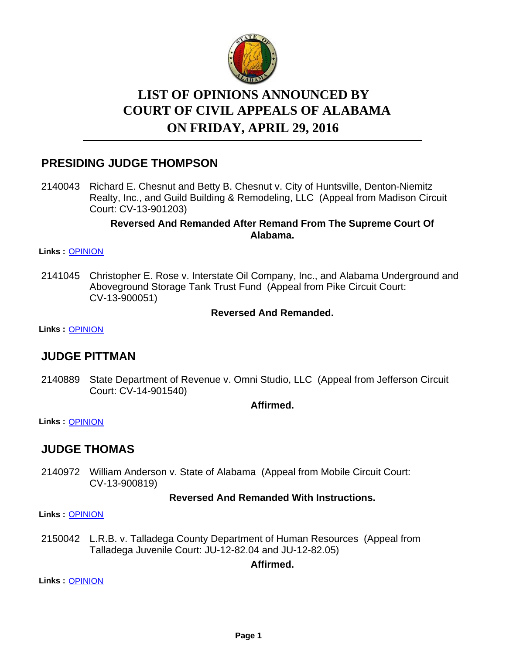

# **LIST OF OPINIONS ANNOUNCED BY ON FRIDAY, APRIL 29, 2016 COURT OF CIVIL APPEALS OF ALABAMA**

## **PRESIDING JUDGE THOMPSON**

2140043 Richard E. Chesnut and Betty B. Chesnut v. City of Huntsville, Denton-Niemitz Realty, Inc., and Guild Building & Remodeling, LLC (Appeal from Madison Circuit Court: CV-13-901203)

### **Reversed And Remanded After Remand From The Supreme Court Of Alabama.**

### **Links :** [OPINION](https://acis.alabama.gov/displaydocs.cfm?no=732594&event=4MG0M71N6)

2141045 Christopher E. Rose v. Interstate Oil Company, Inc., and Alabama Underground and Aboveground Storage Tank Trust Fund (Appeal from Pike Circuit Court: CV-13-900051)

### **Reversed And Remanded.**

**Links :** [OPINION](https://acis.alabama.gov/displaydocs.cfm?no=732599&event=4MG0M72OV)

### **JUDGE PITTMAN**

2140889 State Department of Revenue v. Omni Studio, LLC (Appeal from Jefferson Circuit Court: CV-14-901540)

**Affirmed.**

**Links :** [OPINION](https://acis.alabama.gov/displaydocs.cfm?no=732597&event=4MG0M72AK)

### **JUDGE THOMAS**

2140972 William Anderson v. State of Alabama (Appeal from Mobile Circuit Court: CV-13-900819)

### **Reversed And Remanded With Instructions.**

**Links :** [OPINION](https://acis.alabama.gov/displaydocs.cfm?no=732598&event=4MG0M72H2)

2150042 L.R.B. v. Talladega County Department of Human Resources (Appeal from Talladega Juvenile Court: JU-12-82.04 and JU-12-82.05)

### **Affirmed.**

**Links :** [OPINION](https://acis.alabama.gov/displaydocs.cfm?no=732601&event=4MG0M737X)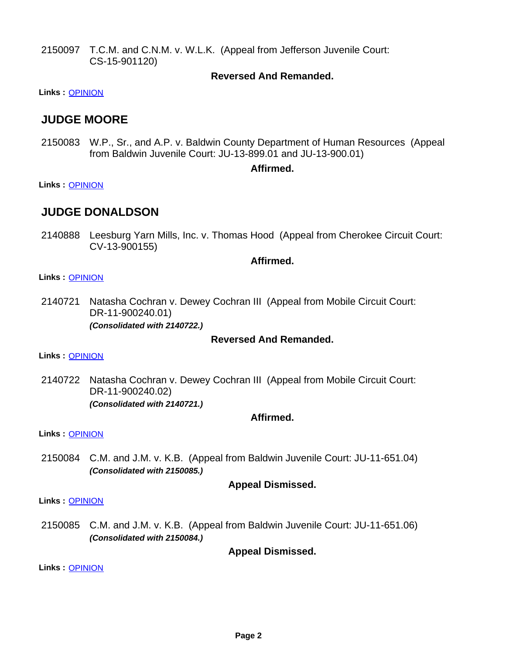2150097 T.C.M. and C.N.M. v. W.L.K. (Appeal from Jefferson Juvenile Court: CS-15-901120)

### **Reversed And Remanded.**

**Links :** [OPINION](https://acis.alabama.gov/displaydocs.cfm?no=732604&event=4MG0M73UG)

### **JUDGE MOORE**

2150083 W.P., Sr., and A.P. v. Baldwin County Department of Human Resources (Appeal from Baldwin Juvenile Court: JU-13-899.01 and JU-13-900.01)

### **Affirmed.**

**Links :** [OPINION](https://acis.alabama.gov/displaydocs.cfm?no=732602&event=4MG0M73EG)

### **JUDGE DONALDSON**

2140888 Leesburg Yarn Mills, Inc. v. Thomas Hood (Appeal from Cherokee Circuit Court: CV-13-900155)

### **Affirmed.**

#### **Links :** [OPINION](https://acis.alabama.gov/displaydocs.cfm?no=732596&event=4MG0M7242)

2140721 Natasha Cochran v. Dewey Cochran III (Appeal from Mobile Circuit Court: DR-11-900240.01) *(Consolidated with 2140722.)*

### **Reversed And Remanded.**

**Links :** [OPINION](https://acis.alabama.gov/displaydocs.cfm?no=732595&event=4MG0M71U3)

2140722 Natasha Cochran v. Dewey Cochran III (Appeal from Mobile Circuit Court: DR-11-900240.02) *(Consolidated with 2140721.)*

### **Affirmed.**

**Links :** [OPINION](https://acis.alabama.gov/displaydocs.cfm?no=732595&event=4MG0M71U3)

2150084 C.M. and J.M. v. K.B. (Appeal from Baldwin Juvenile Court: JU-11-651.04) *(Consolidated with 2150085.)*

### **Appeal Dismissed.**

**Links :** [OPINION](https://acis.alabama.gov/displaydocs.cfm?no=732603&event=4MG0M73KX)

2150085 C.M. and J.M. v. K.B. (Appeal from Baldwin Juvenile Court: JU-11-651.06) *(Consolidated with 2150084.)*

**Appeal Dismissed.**

**Links :** [OPINION](https://acis.alabama.gov/displaydocs.cfm?no=732603&event=4MG0M73KX)